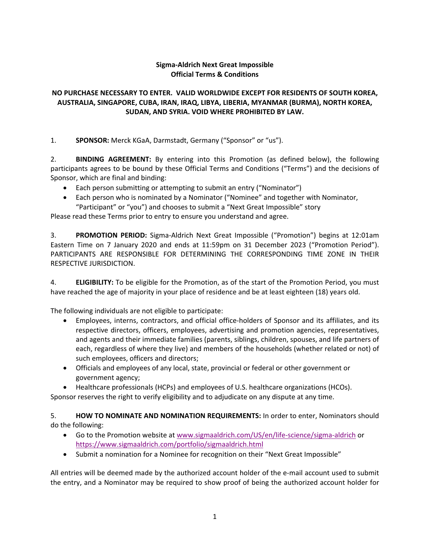## **Sigma-Aldrich Next Great Impossible Official Terms & Conditions**

## **NO PURCHASE NECESSARY TO ENTER. VALID WORLDWIDE EXCEPT FOR RESIDENTS OF SOUTH KOREA, AUSTRALIA, SINGAPORE, CUBA, IRAN, IRAQ, LIBYA, LIBERIA, MYANMAR (BURMA), NORTH KOREA, SUDAN, AND SYRIA. VOID WHERE PROHIBITED BY LAW.**

## 1. **SPONSOR:** Merck KGaA, Darmstadt, Germany ("Sponsor" or "us").

2. **BINDING AGREEMENT:** By entering into this Promotion (as defined below), the following participants agrees to be bound by these Official Terms and Conditions ("Terms") and the decisions of Sponsor, which are final and binding:

- Each person submitting or attempting to submit an entry ("Nominator")
- Each person who is nominated by a Nominator ("Nominee" and together with Nominator, "Participant" or "you") and chooses to submit a "Next Great Impossible" story

Please read these Terms prior to entry to ensure you understand and agree.

3. **PROMOTION PERIOD:** Sigma-Aldrich Next Great Impossible ("Promotion") begins at 12:01am Eastern Time on 7 January 2020 and ends at 11:59pm on 31 December 2023 ("Promotion Period"). PARTICIPANTS ARE RESPONSIBLE FOR DETERMINING THE CORRESPONDING TIME ZONE IN THEIR RESPECTIVE JURISDICTION.

4. **ELIGIBILITY:** To be eligible for the Promotion, as of the start of the Promotion Period, you must have reached the age of majority in your place of residence and be at least eighteen (18) years old.

The following individuals are not eligible to participate:

- Employees, interns, contractors, and official office-holders of Sponsor and its affiliates, and its respective directors, officers, employees, advertising and promotion agencies, representatives, and agents and their immediate families (parents, siblings, children, spouses, and life partners of each, regardless of where they live) and members of the households (whether related or not) of such employees, officers and directors;
- Officials and employees of any local, state, provincial or federal or other government or government agency;
- Healthcare professionals (HCPs) and employees of U.S. healthcare organizations (HCOs).

Sponsor reserves the right to verify eligibility and to adjudicate on any dispute at any time.

5. **HOW TO NOMINATE AND NOMINATION REQUIREMENTS:** In order to enter, Nominators should do the following:

- Go to the Promotion website at [www.sigmaaldrich.com/US/en/life-science/sigma-aldrich](http://www.sigmaaldrich.com/US/en/life-science/sigma-aldrich) or <https://www.sigmaaldrich.com/portfolio/sigmaaldrich.html>
- Submit a nomination for a Nominee for recognition on their "Next Great Impossible"

All entries will be deemed made by the authorized account holder of the e-mail account used to submit the entry, and a Nominator may be required to show proof of being the authorized account holder for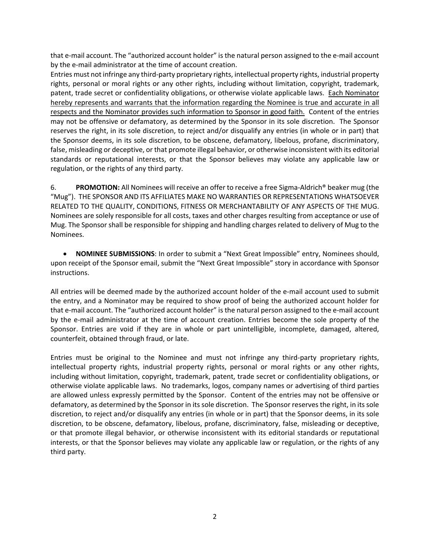that e-mail account. The "authorized account holder" is the natural person assigned to the e-mail account by the e-mail administrator at the time of account creation.

Entries must not infringe any third-party proprietary rights, intellectual property rights, industrial property rights, personal or moral rights or any other rights, including without limitation, copyright, trademark, patent, trade secret or confidentiality obligations, or otherwise violate applicable laws. Each Nominator hereby represents and warrants that the information regarding the Nominee is true and accurate in all respects and the Nominator provides such information to Sponsor in good faith. Content of the entries may not be offensive or defamatory, as determined by the Sponsor in its sole discretion. The Sponsor reserves the right, in its sole discretion, to reject and/or disqualify any entries (in whole or in part) that the Sponsor deems, in its sole discretion, to be obscene, defamatory, libelous, profane, discriminatory, false, misleading or deceptive, or that promote illegal behavior, or otherwise inconsistent with its editorial standards or reputational interests, or that the Sponsor believes may violate any applicable law or regulation, or the rights of any third party.

6. **PROMOTION:** All Nominees will receive an offer to receive a free Sigma-Aldrich® beaker mug (the "Mug"). THE SPONSOR AND ITS AFFILIATES MAKE NO WARRANTIES OR REPRESENTATIONS WHATSOEVER RELATED TO THE QUALITY, CONDITIONS, FITNESS OR MERCHANTABILITY OF ANY ASPECTS OF THE MUG. Nominees are solely responsible for all costs, taxes and other charges resulting from acceptance or use of Mug. The Sponsor shall be responsible for shipping and handling charges related to delivery of Mug to the Nominees.

• **NOMINEE SUBMISSIONS**: In order to submit a "Next Great Impossible" entry, Nominees should, upon receipt of the Sponsor email, submit the "Next Great Impossible" story in accordance with Sponsor instructions.

All entries will be deemed made by the authorized account holder of the e-mail account used to submit the entry, and a Nominator may be required to show proof of being the authorized account holder for that e-mail account. The "authorized account holder" is the natural person assigned to the e-mail account by the e-mail administrator at the time of account creation. Entries become the sole property of the Sponsor. Entries are void if they are in whole or part unintelligible, incomplete, damaged, altered, counterfeit, obtained through fraud, or late.

Entries must be original to the Nominee and must not infringe any third-party proprietary rights, intellectual property rights, industrial property rights, personal or moral rights or any other rights, including without limitation, copyright, trademark, patent, trade secret or confidentiality obligations, or otherwise violate applicable laws. No trademarks, logos, company names or advertising of third parties are allowed unless expressly permitted by the Sponsor. Content of the entries may not be offensive or defamatory, as determined by the Sponsor in its sole discretion. The Sponsor reserves the right, in its sole discretion, to reject and/or disqualify any entries (in whole or in part) that the Sponsor deems, in its sole discretion, to be obscene, defamatory, libelous, profane, discriminatory, false, misleading or deceptive, or that promote illegal behavior, or otherwise inconsistent with its editorial standards or reputational interests, or that the Sponsor believes may violate any applicable law or regulation, or the rights of any third party.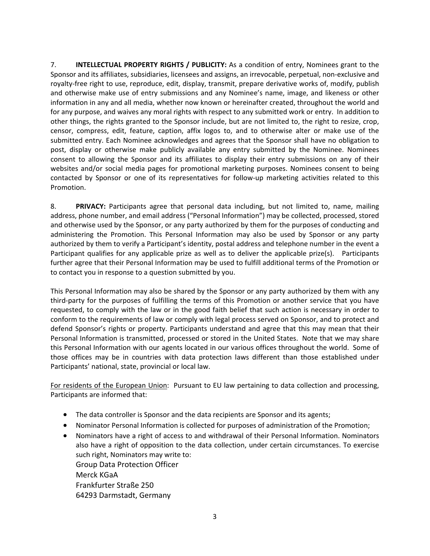7. **INTELLECTUAL PROPERTY RIGHTS / PUBLICITY:** As a condition of entry, Nominees grant to the Sponsor and its affiliates, subsidiaries, licensees and assigns, an irrevocable, perpetual, non-exclusive and royalty-free right to use, reproduce, edit, display, transmit, prepare derivative works of, modify, publish and otherwise make use of entry submissions and any Nominee's name, image, and likeness or other information in any and all media, whether now known or hereinafter created, throughout the world and for any purpose, and waives any moral rights with respect to any submitted work or entry. In addition to other things, the rights granted to the Sponsor include, but are not limited to, the right to resize, crop, censor, compress, edit, feature, caption, affix logos to, and to otherwise alter or make use of the submitted entry. Each Nominee acknowledges and agrees that the Sponsor shall have no obligation to post, display or otherwise make publicly available any entry submitted by the Nominee. Nominees consent to allowing the Sponsor and its affiliates to display their entry submissions on any of their websites and/or social media pages for promotional marketing purposes. Nominees consent to being contacted by Sponsor or one of its representatives for follow-up marketing activities related to this Promotion.

8. **PRIVACY:** Participants agree that personal data including, but not limited to, name, mailing address, phone number, and email address ("Personal Information") may be collected, processed, stored and otherwise used by the Sponsor, or any party authorized by them for the purposes of conducting and administering the Promotion. This Personal Information may also be used by Sponsor or any party authorized by them to verify a Participant's identity, postal address and telephone number in the event a Participant qualifies for any applicable prize as well as to deliver the applicable prize(s). Participants further agree that their Personal Information may be used to fulfill additional terms of the Promotion or to contact you in response to a question submitted by you.

This Personal Information may also be shared by the Sponsor or any party authorized by them with any third-party for the purposes of fulfilling the terms of this Promotion or another service that you have requested, to comply with the law or in the good faith belief that such action is necessary in order to conform to the requirements of law or comply with legal process served on Sponsor, and to protect and defend Sponsor's rights or property. Participants understand and agree that this may mean that their Personal Information is transmitted, processed or stored in the United States. Note that we may share this Personal Information with our agents located in our various offices throughout the world. Some of those offices may be in countries with data protection laws different than those established under Participants' national, state, provincial or local law.

For residents of the European Union: Pursuant to EU law pertaining to data collection and processing, Participants are informed that:

- The data controller is Sponsor and the data recipients are Sponsor and its agents;
- Nominator Personal Information is collected for purposes of administration of the Promotion;
- Nominators have a right of access to and withdrawal of their Personal Information. Nominators also have a right of opposition to the data collection, under certain circumstances. To exercise such right, Nominators may write to: Group Data Protection Officer Merck KGaA Frankfurter Straße 250 64293 Darmstadt, Germany